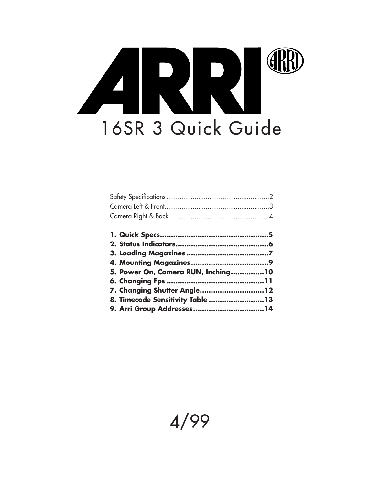# ERRI 16SR 3 Quick Guide

| 5. Power On, Camera RUN, Inching10 |  |
|------------------------------------|--|
|                                    |  |
| 7. Changing Shutter Angle12        |  |
| 8. Timecode Sensitivity Table 13   |  |
|                                    |  |

# 4/99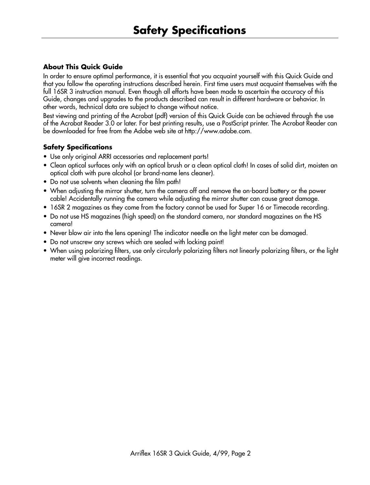# **About This Quick Guide**

In order to ensure optimal performance, it is essential that you acquaint yourself with this Quick Guide and that you follow the operating instructions described herein. First time users must acquaint themselves with the full 16SR 3 instruction manual. Even though all efforts have been made to ascertain the accuracy of this Guide, changes and upgrades to the products described can result in different hardware or behavior. In other words, technical data are subject to change without notice.

Best viewing and printing of the Acrobat (pdf) version of this Quick Guide can be achieved through the use of the Acrobat Reader 3.0 or later. For best printing results, use a PostScript printer. The Acrobat Reader can be downloaded for free from the Adobe web site at http://www.adobe.com.

# **Safety Specifications**

- Use only original ARRI accessories and replacement parts!
- Clean optical surfaces only with an optical brush or a clean optical cloth! In cases of solid dirt, moisten an optical cloth with pure alcohol (or brand-name lens cleaner).
- Do not use solvents when cleaning the film path!
- When adjusting the mirror shutter, turn the camera off and remove the on-board battery or the power cable! Accidentally running the camera while adjusting the mirror shutter can cause great damage.
- 16SR 2 magazines as they come from the factory cannot be used for Super 16 or Timecode recording.
- Do not use HS magazines (high speed) on the standard camera, nor standard magazines on the HS camera!
- Never blow air into the lens opening! The indicator needle on the light meter can be damaged.
- Do not unscrew any screws which are sealed with locking paint!
- When using polarizing filters, use only circularly polarizing filters not linearly polarizing filters, or the light meter will give incorrect readings.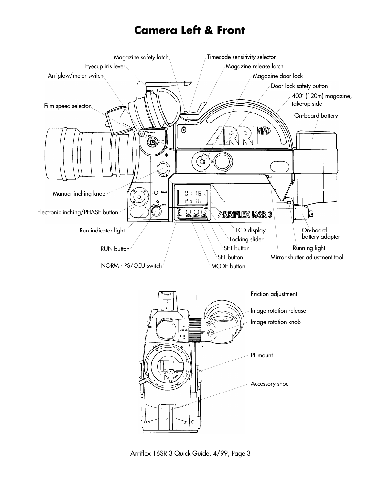# **Camera Left & Front**



Arriflex 16SR 3 Quick Guide, 4/99, Page 3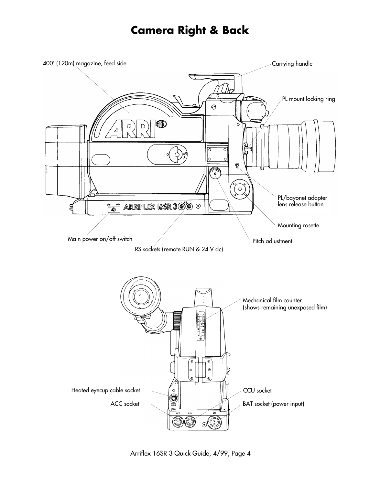

Arriflex 16SR 3 Quick Guide, 4/99, Page 4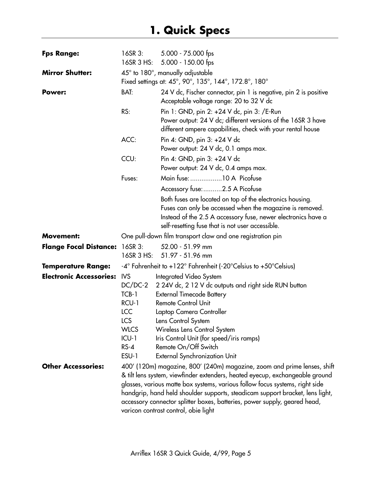# **1. Quick Specs**

| <b>Fps Range:</b>              | 16SR 3:<br>16SR 3 HS:                                                                                              | 5.000 - 75.000 fps<br>5.000 - 150.00 fps                                                                                                                                                                                                                                                                                                                                                                                                       |
|--------------------------------|--------------------------------------------------------------------------------------------------------------------|------------------------------------------------------------------------------------------------------------------------------------------------------------------------------------------------------------------------------------------------------------------------------------------------------------------------------------------------------------------------------------------------------------------------------------------------|
| <b>Mirror Shutter:</b>         |                                                                                                                    | $45^{\circ}$ to $180^{\circ}$ , manually adjustable<br>Fixed settings at: 45°, 90°, 135°, 144°, 172.8°, 180°                                                                                                                                                                                                                                                                                                                                   |
| Power:                         | BAT:                                                                                                               | 24 V dc, Fischer connector, pin 1 is negative, pin 2 is positive<br>Acceptable voltage range: 20 to 32 V dc                                                                                                                                                                                                                                                                                                                                    |
|                                | RS:                                                                                                                | Pin 1: GND, pin 2: +24 V dc, pin 3: /E-Run<br>Power output: 24 V dc; different versions of the 16SR 3 have<br>different ampere capabilities, check with your rental house                                                                                                                                                                                                                                                                      |
|                                | ACC:                                                                                                               | Pin 4: GND, pin 3: +24 V dc<br>Power output: 24 V dc, 0.1 amps max.                                                                                                                                                                                                                                                                                                                                                                            |
|                                | CCU:                                                                                                               | Pin 4: GND, pin 3: +24 V dc<br>Power output: 24 V dc, 0.4 amps max.                                                                                                                                                                                                                                                                                                                                                                            |
|                                | Fuses:                                                                                                             | Main fuse: 10 A Picofuse<br>Accessory fuse:2.5 A Picofuse                                                                                                                                                                                                                                                                                                                                                                                      |
|                                |                                                                                                                    | Both fuses are located on top of the electronics housing.<br>Fuses can only be accessed when the magazine is removed.<br>Instead of the 2.5 A accessory fuse, newer electronics have a<br>self-resetting fuse that is not user accessible.                                                                                                                                                                                                     |
| <b>Movement:</b>               |                                                                                                                    | One pull-down film transport claw and one registration pin                                                                                                                                                                                                                                                                                                                                                                                     |
| <b>Flange Focal Distance:</b>  | $16$ SR 3:<br>16SR 3 HS:                                                                                           | 52.00 - 51.99 mm<br>51.97 - 51.96 mm                                                                                                                                                                                                                                                                                                                                                                                                           |
| <b>Temperature Range:</b>      |                                                                                                                    | -4° Fahrenheit to +122° Fahrenheit (-20°Celsius to +50°Celsius)                                                                                                                                                                                                                                                                                                                                                                                |
| <b>Electronic Accessories:</b> | <b>IVS</b><br>$DC/DC-2$<br>TCB-1<br>RCU-1<br><b>ICC</b><br><b>LCS</b><br><b>WLCS</b><br>$ICU-1$<br>$RS-4$<br>ESU-1 | Integrated Video System<br>2 24V dc, 2 12 V dc outputs and right side RUN button<br><b>External Timecode Battery</b><br><b>Remote Control Unit</b><br>Laptop Camera Controller<br>Lens Control System<br>Wireless Lens Control System<br>Iris Control Unit (for speed/iris ramps)<br>Remote On/Off Switch<br><b>External Synchronization Unit</b>                                                                                              |
| <b>Other Accessories:</b>      |                                                                                                                    | 400′ (120m) magazine, 800′ (240m) magazine, zoom and prime lenses, shift<br>& tilt lens system, viewfinder extenders, heated eyecup, exchangeable ground<br>glasses, various matte box systems, various follow focus systems, right side<br>handgrip, hand held shoulder supports, steadicam support bracket, lens light,<br>accessory connector splitter boxes, batteries, power supply, geared head,<br>varicon contrast control, obie light |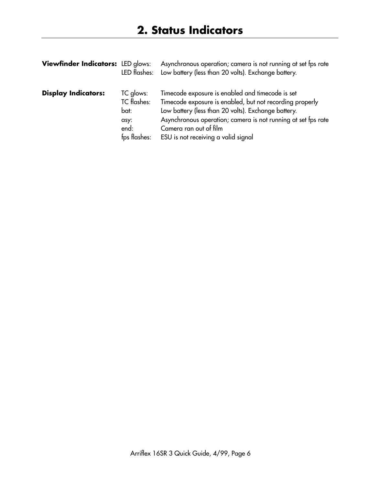| Viewfinder Indicators: LED glows: | LED flashes:                                                            | Asynchronous operation; camera is not running at set fps rate<br>Low battery (less than 20 volts). Exchange battery.                                                                                                                                                                                  |
|-----------------------------------|-------------------------------------------------------------------------|-------------------------------------------------------------------------------------------------------------------------------------------------------------------------------------------------------------------------------------------------------------------------------------------------------|
| <b>Display Indicators:</b>        | TC glows:<br><b>TC</b> flashes:<br>bat:<br>asy:<br>end:<br>fps flashes: | Timecode exposure is enabled and timecode is set<br>Timecode exposure is enabled, but not recording properly<br>Low battery (less than 20 volts). Exchange battery.<br>Asynchronous operation; camera is not running at set fps rate<br>Camera ran out of film<br>ESU is not receiving a valid signal |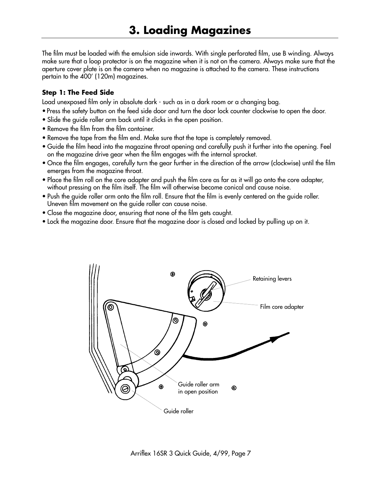The film must be loaded with the emulsion side inwards. With single perforated film, use B winding. Always make sure that a loop protector is on the magazine when it is not on the camera. Always make sure that the aperture cover plate is on the camera when no magazine is attached to the camera. These instructions pertain to the 400' (120m) magazines.

#### **Step 1: The Feed Side**

Load unexposed film only in absolute dark - such as in a dark room or a changing bag.

- Press the safety button on the feed side door and turn the door lock counter clockwise to open the door.
- Slide the guide roller arm back until it clicks in the open position.
- Remove the film from the film container.
- Remove the tape from the film end. Make sure that the tape is completely removed.
- Guide the film head into the magazine throat opening and carefully push it further into the opening. Feel on the magazine drive gear when the film engages with the internal sprocket.
- Once the film engages, carefully turn the gear further in the direction of the arrow (clockwise) until the film emerges from the magazine throat.
- Place the film roll on the core adapter and push the film core as far as it will go onto the core adapter, without pressing on the film itself. The film will otherwise become conical and cause noise.
- Push the guide roller arm onto the film roll. Ensure that the film is evenly centered on the guide roller. Uneven film movement on the guide roller can cause noise.
- Close the magazine door, ensuring that none of the film gets caught.
- Lock the magazine door. Ensure that the magazine door is closed and locked by pulling up on it.

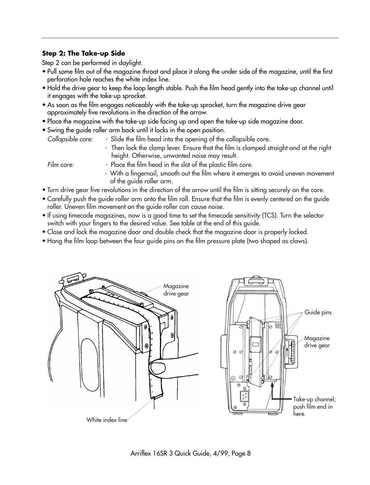# **Step 2: The Take-up Side**

Step 2 can be performed in daylight.

- Pull some film out of the magazine throat and place it along the under side of the magazine, until the first perforation hole reaches the white index line.
- Hold the drive gear to keep the loop length stable. Push the film head gently into the take-up channel until it engages with the take-up sprocket.
- As soon as the film engages noticeably with the take-up sprocket, turn the magazine drive gear approximately five revolutions in the direction of the arrow.
- Place the magazine with the take-up side facing up and open the take-up side magazine door.
- Swing the guide roller arm back until it locks in the open position.
	- Collapsible core: Slide the film head into the opening of the collapsible core.
		- Then lock the clamp lever. Ensure that the film is clamped straight and at the right height. Otherwise, unwanted noise may result.

- Film core:  $\blacksquare$  Place the film head in the slot of the plastic film core.
	- With a fingernail, smooth out the film where it emerges to avoid uneven movement of the guide roller arm.
- Turn drive gear five revolutions in the direction of the arrow until the film is sitting securely on the core.
- Carefully push the guide roller arm onto the film roll. Ensure that the film is evenly centered on the guide roller. Uneven film movement on the guide roller can cause noise.
- If using timecode magazines, now is a good time to set the timecode sensitivity (TCS). Turn the selector switch with your fingers to the desired value. See table at the end of this guide.
- Close and lock the magazine door and double check that the magazine door is properly locked.
- Hang the film loop between the four guide pins on the film pressure plate (two shaped as claws).



Arriflex 16SR 3 Quick Guide, 4/99, Page 8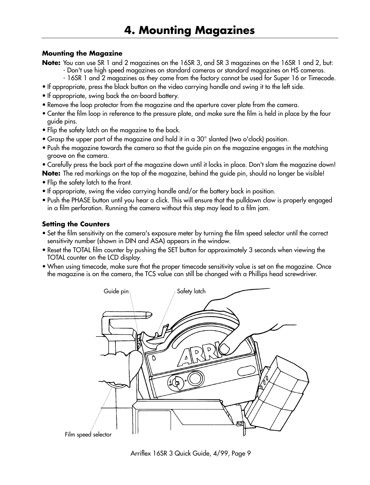#### **Mounting the Magazine**

**Note:** You can use SR 1 and 2 magazines on the 16SR 3, and SR 3 magazines on the 16SR 1 and 2, but: - Don't use high speed magazines on standard cameras or standard magazines on HS cameras.

- 16SR 1 and 2 magazines as they come from the factory cannot be used for Super 16 or Timecode.
- If appropriate, press the black button on the video carrying handle and swing it to the left side.
- If appropriate, swing back the on-board battery.
- Remove the loop protector from the magazine and the aperture cover plate from the camera.
- Center the film loop in reference to the pressure plate, and make sure the film is held in place by the four guide pins.
- Flip the safety latch on the magazine to the back.
- Grasp the upper part of the magazine and hold it in a 30° slanted (two o'clock) position.
- Push the magazine towards the camera so that the guide pin on the magazine engages in the matching groove on the camera.
- Carefully press the back part of the magazine down until it locks in place. Don't slam the magazine down!

**Note:** The red markings on the top of the magazine, behind the guide pin, should no longer be visible!

- Flip the safety latch to the front.
- If appropriate, swing the video carrying handle and/or the battery back in position.
- Push the PHASE button until you hear a click. This will ensure that the pulldown claw is properly engaged in a film perforation. Running the camera without this step may lead to a film jam.

#### **Setting the Counters**

- Set the film sensitivity on the camera's exposure meter by turning the film speed selector until the correct sensitivity number (shown in DIN and ASA) appears in the window.
- Reset the TOTAL film counter by pushing the SET button for approximately 3 seconds when viewing the TOTAL counter on the LCD display.
- When using timecode, make sure that the proper timecode sensitivity value is set on the magazine. Once the magazine is on the camera, the TCS value can still be changed with a Phillips head screwdriver.



Arriflex 16SR 3 Quick Guide, 4/99, Page 9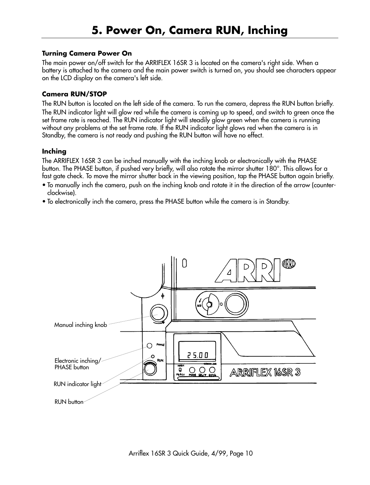#### **Turning Camera Power On**

The main power on/off switch for the ARRIFLEX 16SR 3 is located on the camera's right side. When a battery is attached to the camera and the main power switch is turned on, you should see characters appear on the LCD display on the camera's left side.

#### **Camera RUN/STOP**

The RUN button is located on the left side of the camera. To run the camera, depress the RUN button briefly. The RUN indicator light will glow red while the camera is coming up to speed, and switch to green once the set frame rate is reached. The RUN indicator light will steadily glow green when the camera is running without any problems at the set frame rate. If the RUN indicator light glows red when the camera is in Standby, the camera is not ready and pushing the RUN button will have no effect.

#### **Inching**

The ARRIFLEX 16SR 3 can be inched manually with the inching knob or electronically with the PHASE button. The PHASE button, if pushed very briefly, will also rotate the mirror shutter 180°. This allows for a fast gate check. To move the mirror shutter back in the viewing position, tap the PHASE button again briefly.

- To manually inch the camera, push on the inching knob and rotate it in the direction of the arrow (counterclockwise).
- To electronically inch the camera, press the PHASE button while the camera is in Standby.

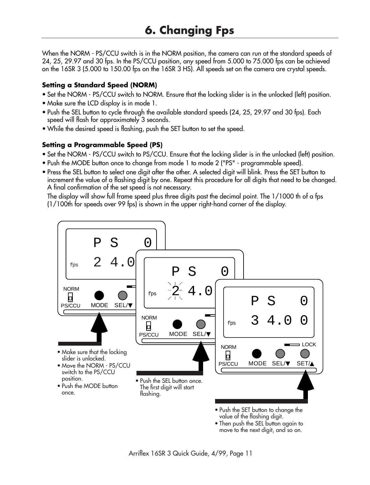When the NORM - PS/CCU switch is in the NORM position, the camera can run at the standard speeds of 24, 25, 29.97 and 30 fps. In the PS/CCU position, any speed from 5.000 to 75.000 fps can be achieved on the 16SR 3 (5.000 to 150.00 fps on the 16SR 3 HS). All speeds set on the camera are crystal speeds.

# **Setting a Standard Speed (NORM)**

- Set the NORM PS/CCU switch to NORM. Ensure that the locking slider is in the unlocked (left) position.
- Make sure the LCD display is in mode 1.
- Push the SEL button to cycle through the available standard speeds (24, 25, 29.97 and 30 fps). Each speed will flash for approximately 3 seconds.
- While the desired speed is flashing, push the SET button to set the speed.

# **Setting a Programmable Speed (PS)**

- Set the NORM PS/CCU switch to PS/CCU. Ensure that the locking slider is in the unlocked (left) position.
- Push the MODE button once to change from mode 1 to mode 2 ("PS" programmable speed).
- Press the SEL button to select one digit after the other. A selected digit will blink. Press the SET button to increment the value of a flashing digit by one. Repeat this procedure for all digits that need to be changed. A final confirmation of the set speed is not necessary.

The display will show full frame speed plus three digits past the decimal point. The 1/1000 th of a fps (1/100th for speeds over 99 fps) is shown in the upper right-hand corner of the display.

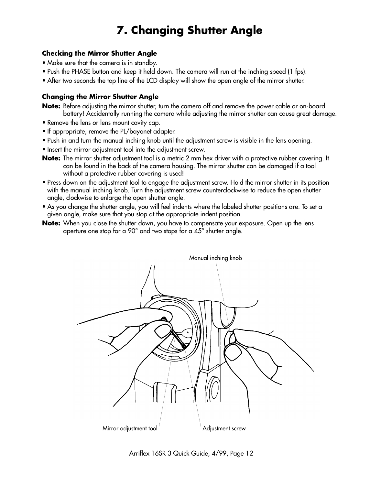### **Checking the Mirror Shutter Angle**

- Make sure that the camera is in standby.
- Push the PHASE button and keep it held down. The camera will run at the inching speed (1 fps).
- After two seconds the top line of the LCD display will show the open angle of the mirror shutter.

# **Changing the Mirror Shutter Angle**

**Note:** Before adjusting the mirror shutter, turn the camera off and remove the power cable or on-board battery! Accidentally running the camera while adjusting the mirror shutter can cause great damage.

- Remove the lens or lens mount cavity cap.
- If appropriate, remove the PL/bayonet adapter.
- Push in and turn the manual inching knob until the adjustment screw is visible in the lens opening.
- Insert the mirror adjustment tool into the adjustment screw.
- **Note:** The mirror shutter adjustment tool is a metric 2 mm hex driver with a protective rubber covering. It can be found in the back of the camera housing. The mirror shutter can be damaged if a tool without a protective rubber covering is used!
- Press down on the adjustment tool to engage the adjustment screw. Hold the mirror shutter in its position with the manual inching knob. Turn the adjustment screw counterclockwise to reduce the open shutter angle, clockwise to enlarge the open shutter angle.
- As you change the shutter angle, you will feel indents where the labeled shutter positions are. To set a given angle, make sure that you stop at the appropriate indent position.
- **Note:** When you close the shutter down, you have to compensate your exposure. Open up the lens aperture one stop for a 90° and two stops for a 45° shutter angle.



Arriflex 16SR 3 Quick Guide, 4/99, Page 12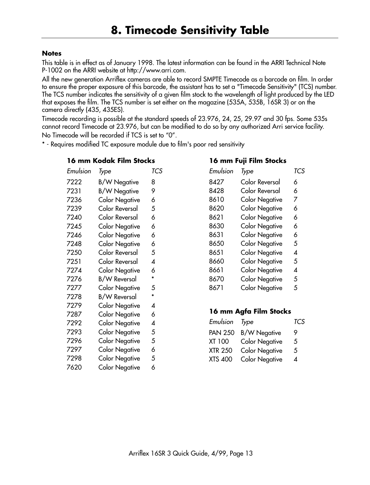#### **Notes**

This table is in effect as of January 1998. The latest information can be found in the ARRI Technical Note P-1002 on the ARRI website at http://www.arri.com.

All the new generation Arriflex cameras are able to record SMPTE Timecode as a barcode on film. In order to ensure the proper exposure of this barcode, the assistant has to set a "Timecode Sensitivity" (TCS) number. The TCS number indicates the sensitivity of a given film stock to the wavelength of light produced by the LED that exposes the film. The TCS number is set either on the magazine (535A, 535B, 16SR 3) or on the camera directly (435, 435ES).

Timecode recording is possible at the standard speeds of 23.976, 24, 25, 29.97 and 30 fps. Some 535s cannot record Timecode at 23.976, but can be modified to do so by any authorized Arri service facility. No Timecode will be recorded if TCS is set to "0".

\* - Requires modified TC exposure module due to film's poor red sensitivity

#### **16 mm Kodak Film Stocks**

| Emulsion | Type                  | TCS |
|----------|-----------------------|-----|
| 7222     | <b>B/W Negative</b>   | 8   |
| 7231     | <b>B/W Negative</b>   | 9   |
| 7236     | <b>Color Negative</b> | 6   |
| 7239     | Color Reversal        | 5   |
| 7240     | Color Reversal        | 6   |
| 7245     | <b>Color Negative</b> | 6   |
| 7246     | <b>Color Negative</b> | 6   |
| 7248     | <b>Color Negative</b> | 6   |
| 7250     | Color Reversal        | 5   |
| 7251     | Color Reversal        | 4   |
| 7274     | <b>Color Negative</b> | 6   |
| 7276     | <b>B/W Reversal</b>   | *   |
| 7277     | <b>Color Negative</b> | 5   |
| 7278     | <b>B/W Reversal</b>   | *   |
| 7279     | Color Negative        | 4   |
| 7287     | Color Negative        | 6   |
| 7292     | <b>Color Negative</b> | 4   |
| 7293     | Color Negative        | 5   |
| 7296     | Color Negative        | 5   |
| 7297     | <b>Color Negative</b> | 6   |
| 7298     | Color Negative        | 5   |
| 7620     | <b>Color Negative</b> | 6   |

| 16 mm Fuji Film Stocks |                       |     |
|------------------------|-----------------------|-----|
| Emulsion               | Type                  | TCS |
| 8427                   | Color Reversal        | 6   |
| 8428                   | Color Reversal        | 6   |
| 8610                   | <b>Color Negative</b> | 7   |
| 8620                   | <b>Color Negative</b> | 6   |
| 8621                   | <b>Color Negative</b> | 6   |
| 8630                   | <b>Color Negative</b> | 6   |
| 8631                   | <b>Color Negative</b> | 6   |
| 8650                   | <b>Color Negative</b> | 5   |
| 8651                   | <b>Color Negative</b> | Δ   |
| 8660                   | <b>Color Negative</b> | 5   |
| 8661                   | <b>Color Negative</b> | 4   |
| 8670                   | <b>Color Negative</b> | 5   |
| 8671                   | <b>Color Negative</b> | 5   |
|                        |                       |     |

and the contract

#### **16 mm Agfa Film Stocks**

| Emulsion Type  |                       | TCS |
|----------------|-----------------------|-----|
| <b>PAN 250</b> | <b>B/W Negative</b>   | 9   |
| <b>XT 100</b>  | <b>Color Negative</b> | 5   |
| <b>XTR 250</b> | <b>Color Negative</b> | 5   |
| <b>XTS 400</b> | <b>Color Negative</b> | 4   |